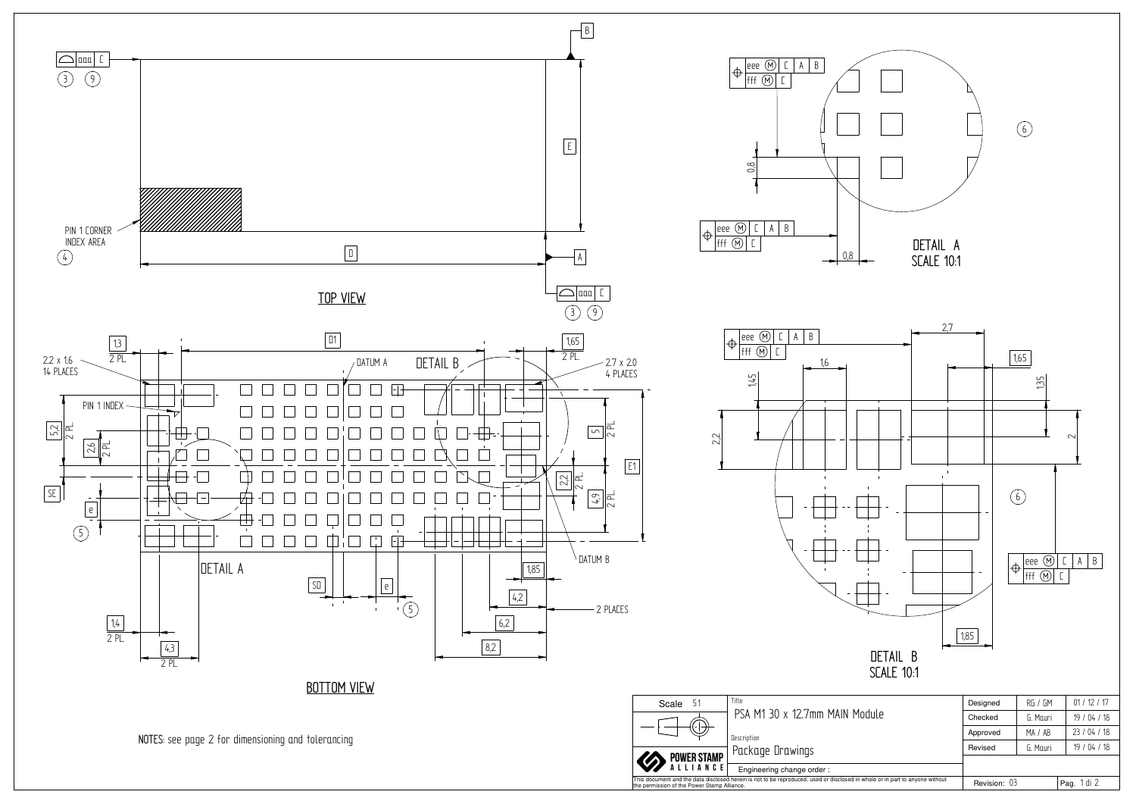